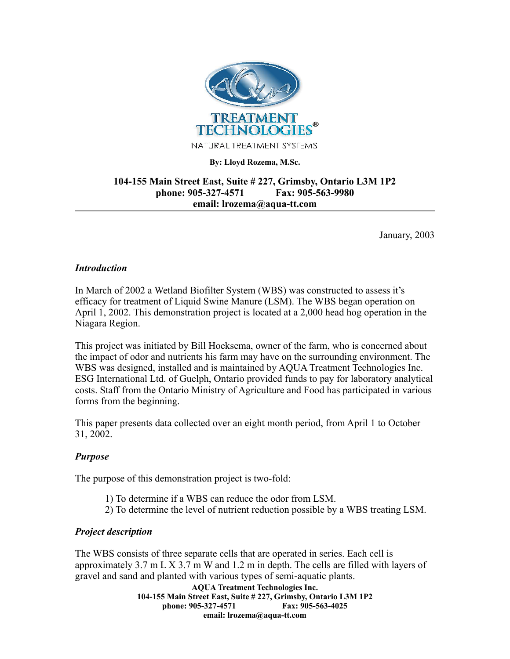

## **By: Lloyd Rozema, M.Sc.**

# **104-155 Main Street East, Suite # 227, Grimsby, Ontario L3M 1P2 phone: 905-327-4571 Fax: 905-563-9980 email: lrozema@aqua-tt.com**

January, 2003

## *Introduction*

In March of 2002 a Wetland Biofilter System (WBS) was constructed to assess it's efficacy for treatment of Liquid Swine Manure (LSM). The WBS began operation on April 1, 2002. This demonstration project is located at a 2,000 head hog operation in the Niagara Region.

This project was initiated by Bill Hoeksema, owner of the farm, who is concerned about the impact of odor and nutrients his farm may have on the surrounding environment. The WBS was designed, installed and is maintained by AQUA Treatment Technologies Inc. ESG International Ltd. of Guelph, Ontario provided funds to pay for laboratory analytical costs. Staff from the Ontario Ministry of Agriculture and Food has participated in various forms from the beginning.

This paper presents data collected over an eight month period, from April 1 to October 31, 2002.

## *Purpose*

The purpose of this demonstration project is two-fold:

- 1) To determine if a WBS can reduce the odor from LSM.
- 2) To determine the level of nutrient reduction possible by a WBS treating LSM.

#### *Project description*

The WBS consists of three separate cells that are operated in series. Each cell is approximately 3.7 m L X 3.7 m W and 1.2 m in depth. The cells are filled with layers of gravel and sand and planted with various types of semi-aquatic plants.

**AQUA Treatment Technologies Inc. 104-155 Main Street East, Suite # 227, Grimsby, Ontario L3M 1P2 phone: 905-327-4571 email: lrozema@aqua-tt.com**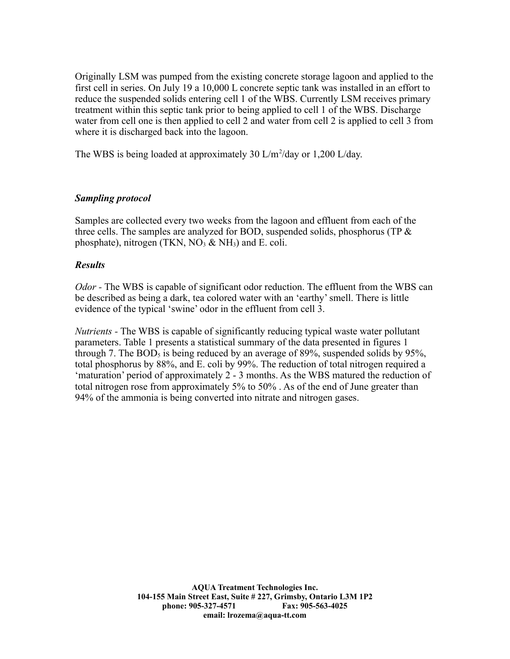Originally LSM was pumped from the existing concrete storage lagoon and applied to the first cell in series. On July 19 a 10,000 L concrete septic tank was installed in an effort to reduce the suspended solids entering cell 1 of the WBS. Currently LSM receives primary treatment within this septic tank prior to being applied to cell 1 of the WBS. Discharge water from cell one is then applied to cell 2 and water from cell 2 is applied to cell 3 from where it is discharged back into the lagoon.

The WBS is being loaded at approximately 30  $L/m^2$ /day or 1,200  $L/day$ .

# *Sampling protocol*

Samples are collected every two weeks from the lagoon and effluent from each of the three cells. The samples are analyzed for BOD, suspended solids, phosphorus (TP  $\&$ phosphate), nitrogen (TKN,  $NO<sub>3</sub>$  & NH<sub>3</sub>) and E. coli.

# *Results*

*Odor -* The WBS is capable of significant odor reduction. The effluent from the WBS can be described as being a dark, tea colored water with an 'earthy' smell. There is little evidence of the typical 'swine' odor in the effluent from cell 3.

*Nutrients -* The WBS is capable of significantly reducing typical waste water pollutant parameters. Table 1 presents a statistical summary of the data presented in figures 1 through 7. The  $BOD_5$  is being reduced by an average of 89%, suspended solids by 95%, total phosphorus by 88%, and E. coli by 99%. The reduction of total nitrogen required a 'maturation' period of approximately 2 - 3 months. As the WBS matured the reduction of total nitrogen rose from approximately 5% to 50% . As of the end of June greater than 94% of the ammonia is being converted into nitrate and nitrogen gases.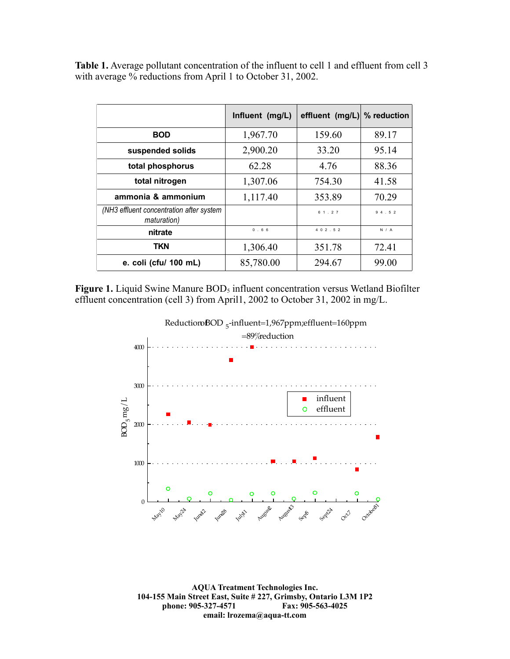**Table 1.** Average pollutant concentration of the influent to cell 1 and effluent from cell 3 with average % reductions from April 1 to October 31, 2002.

|                                                         | Influent (mg/L) | effluent (mg/L) % reduction |       |
|---------------------------------------------------------|-----------------|-----------------------------|-------|
| <b>BOD</b>                                              | 1,967.70        | 159.60                      | 89.17 |
| suspended solids                                        | 2,900.20        | 33.20                       | 95.14 |
| total phosphorus                                        | 62.28           | 4.76                        | 88.36 |
| total nitrogen                                          | 1,307.06        | 754.30                      | 41.58 |
| ammonia & ammonium                                      | 1,117.40        | 353.89                      | 70.29 |
| (NH3 effluent concentration after system<br>maturation) |                 | 61.27                       | 94.52 |
| nitrate                                                 | 0.66            | 4 0 2 . 5 2                 | N / A |
| <b>TKN</b>                                              | 1,306.40        | 351.78                      | 72.41 |
| e. coli (cfu/ 100 mL)                                   | 85,780.00       | 294.67                      | 99.00 |

**Figure 1.** Liquid Swine Manure BOD<sub>5</sub> influent concentration versus Wetland Biofilter effluent concentration (cell 3) from April1, 2002 to October 31, 2002 in mg/L.



**AQUA Treatment Technologies Inc. 104-155 Main Street East, Suite # 227, Grimsby, Ontario L3M 1P2 phone: 905-327-4571 Fax: 905-563-4025 email: lrozema@aqua-tt.com**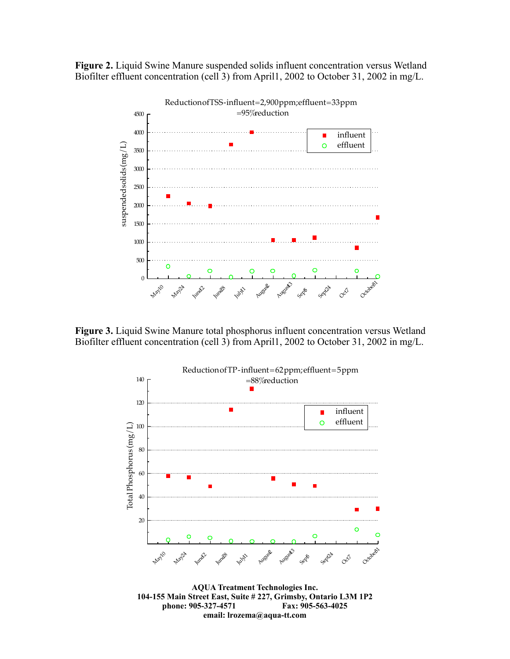**Figure 2.** Liquid Swine Manure suspended solids influent concentration versus Wetland Biofilter effluent concentration (cell 3) from April1, 2002 to October 31, 2002 in mg/L.



**Figure 3.** Liquid Swine Manure total phosphorus influent concentration versus Wetland Biofilter effluent concentration (cell 3) from April1, 2002 to October 31, 2002 in mg/L.



**phone: 905-327-4571 Fax: 905-563-4025 email: lrozema@aqua-tt.com**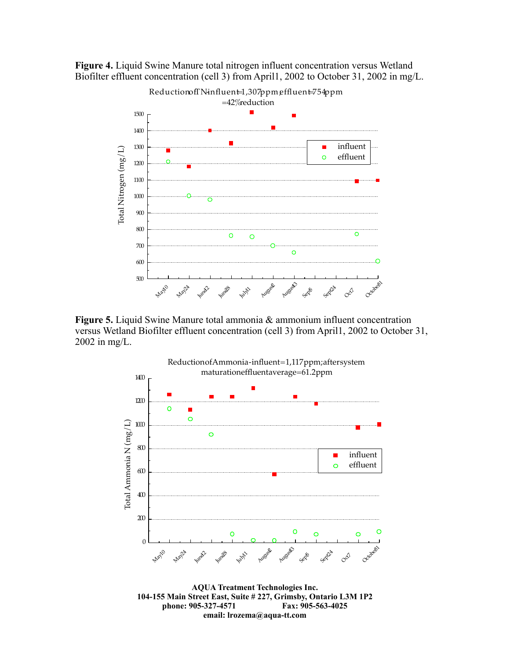



**Figure 5.** Liquid Swine Manure total ammonia & ammonium influent concentration versus Wetland Biofilter effluent concentration (cell 3) from April1, 2002 to October 31, 2002 in mg/L.



**104-155 Main Street East, Suite # 227, Grimsby, Ontario L3M 1P2 phone: 905-327-4571 Fax: 905-563-4025 email: lrozema@aqua-tt.com**